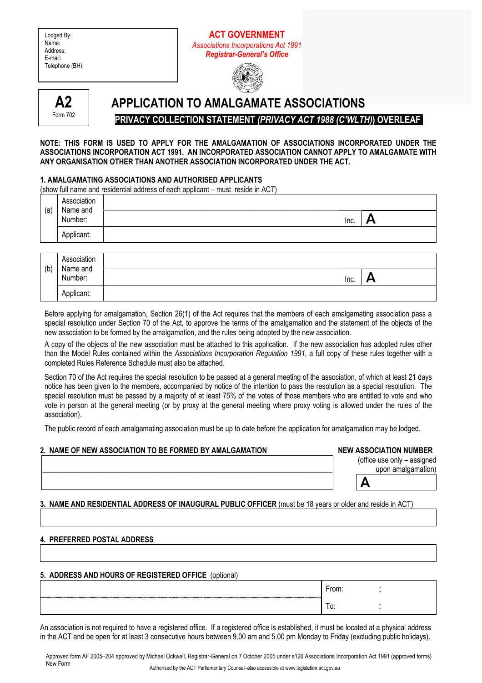# **ACT GOVERNMENT**  *Associations Incorporations Act 1991 Registrar-General's Office*





# **APPLICATION TO AMALGAMATE ASSOCIATIONS PRIVACY COLLECTION STATEMENT** *(PRIVACY ACT 1988 (C'WLTH)***) OVERLEAF**

#### **NOTE: THIS FORM IS USED TO APPLY FOR THE AMALGAMATION OF ASSOCIATIONS INCORPORATED UNDER THE ASSOCIATIONS INCORPORATION ACT 1991. AN INCORPORATED ASSOCIATION CANNOT APPLY TO AMALGAMATE WITH ANY ORGANISATION OTHER THAN ANOTHER ASSOCIATION INCORPORATED UNDER THE ACT.**

### **1. AMALGAMATING ASSOCIATIONS AND AUTHORISED APPLICANTS**

(show full name and residential address of each applicant – must reside in ACT)

|     | Association<br>Name and |      |   |
|-----|-------------------------|------|---|
| (a) | Number:                 | Inc. | A |
|     | Applicant:              |      |   |
|     |                         |      |   |
|     | Association<br>Name and |      |   |
| (b) | Number:                 | Inc. | н |
|     |                         |      |   |

Before applying for amalgamation, Section 26(1) of the Act requires that the members of each amalgamating association pass a special resolution under Section 70 of the Act, to approve the terms of the amalgamation and the statement of the objects of the new association to be formed by the amalgamation, and the rules being adopted by the new association.

A copy of the objects of the new association must be attached to this application. If the new association has adopted rules other than the Model Rules contained within the *Associations Incorporation Regulation 1991*, a full copy of these rules together with a completed Rules Reference Schedule must also be attached.

Section 70 of the Act requires the special resolution to be passed at a general meeting of the association, of which at least 21 days notice has been given to the members, accompanied by notice of the intention to pass the resolution as a special resolution. The special resolution must be passed by a majority of at least 75% of the votes of those members who are entitled to vote and who vote in person at the general meeting (or by proxy at the general meeting where proxy voting is allowed under the rules of the association).

The public record of each amalgamating association must be up to date before the application for amalgamation may be lodged.

# 2. NAME OF NEW ASSOCIATION TO BE FORMED BY AMALGAMATION **NAME ASSOCIATION NUMBER**

(office use only – assigned

| upon amalgamation) |
|--------------------|
|                    |

# **3. NAME AND RESIDENTIAL ADDRESS OF INAUGURAL PUBLIC OFFICER** (must be 18 years or older and reside in ACT)

# **4. PREFERRED POSTAL ADDRESS**

# **5. ADDRESS AND HOURS OF REGISTERED OFFICE** (optional)

|  | From: |  |
|--|-------|--|
|  | . .   |  |

An association is not required to have a registered office. If a registered office is established, it must be located at a physical address in the ACT and be open for at least 3 consecutive hours between 9.00 am and 5.00 pm Monday to Friday (excluding public holidays).

Approved form AF 2005–204 approved by Michael Ockwell, Registrar-General on 7 October 2005 under s126 Associations Incorporation Act 1991 (approved forms) New Form Authorised by the ACT Parliamentary Counsel–also accessible at www.legislation.act.gov.au